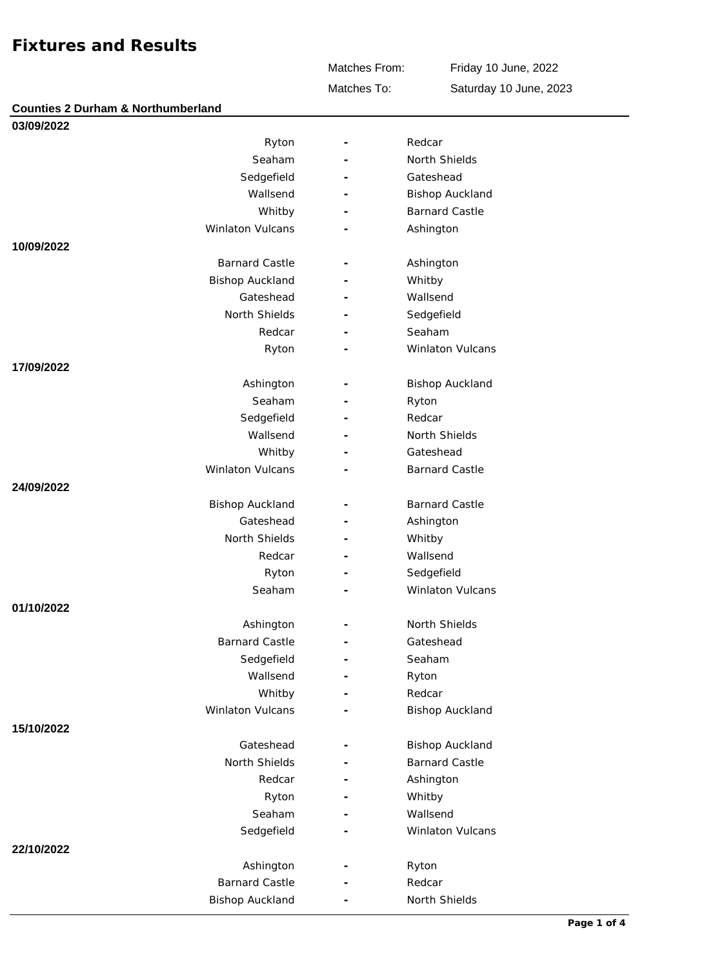**Counties 2 Durham & Northumberland**

Matches From:

Friday 10 June, 2022

Matches To:

Saturday 10 June, 2023

| 03/09/2022              |   |                        |
|-------------------------|---|------------------------|
| Ryton                   |   | Redcar                 |
| Seaham                  |   | North Shields          |
| Sedgefield              |   | Gateshead              |
| Wallsend                |   | <b>Bishop Auckland</b> |
| Whitby                  |   | <b>Barnard Castle</b>  |
| <b>Winlaton Vulcans</b> |   | Ashington              |
| 10/09/2022              |   |                        |
| <b>Barnard Castle</b>   |   | Ashington              |
| <b>Bishop Auckland</b>  |   | Whitby                 |
| Gateshead               |   | Wallsend               |
| North Shields           |   | Sedgefield             |
| Redcar                  |   | Seaham                 |
| Ryton                   |   | Winlaton Vulcans       |
| 17/09/2022              |   |                        |
| Ashington               |   | <b>Bishop Auckland</b> |
| Seaham                  |   | Ryton                  |
| Sedgefield              |   | Redcar                 |
| Wallsend                |   | North Shields          |
| Whitby                  |   | Gateshead              |
| <b>Winlaton Vulcans</b> |   | <b>Barnard Castle</b>  |
| 24/09/2022              |   |                        |
| <b>Bishop Auckland</b>  |   | <b>Barnard Castle</b>  |
| Gateshead               |   | Ashington              |
| North Shields           |   | Whitby                 |
| Redcar                  | ٠ | Wallsend               |
| Ryton                   |   | Sedgefield             |
| Seaham                  |   | Winlaton Vulcans       |
| 01/10/2022              |   |                        |
| Ashington               | ۳ | North Shields          |
| <b>Barnard Castle</b>   |   | Gateshead              |
| Sedgefield              |   | Seaham                 |
| Wallsend                |   | Ryton                  |
| Whitby                  |   | Redcar                 |
| Winlaton Vulcans        |   | <b>Bishop Auckland</b> |
| 15/10/2022              |   |                        |
| Gateshead               |   | <b>Bishop Auckland</b> |
| North Shields           |   | <b>Barnard Castle</b>  |
| Redcar                  |   | Ashington              |
| Ryton                   |   | Whitby                 |
| Seaham                  |   | Wallsend               |
| Sedgefield              |   | Winlaton Vulcans       |
| 22/10/2022              |   |                        |
| Ashington               |   | Ryton                  |
| <b>Barnard Castle</b>   |   | Redcar                 |
| <b>Bishop Auckland</b>  |   | North Shields          |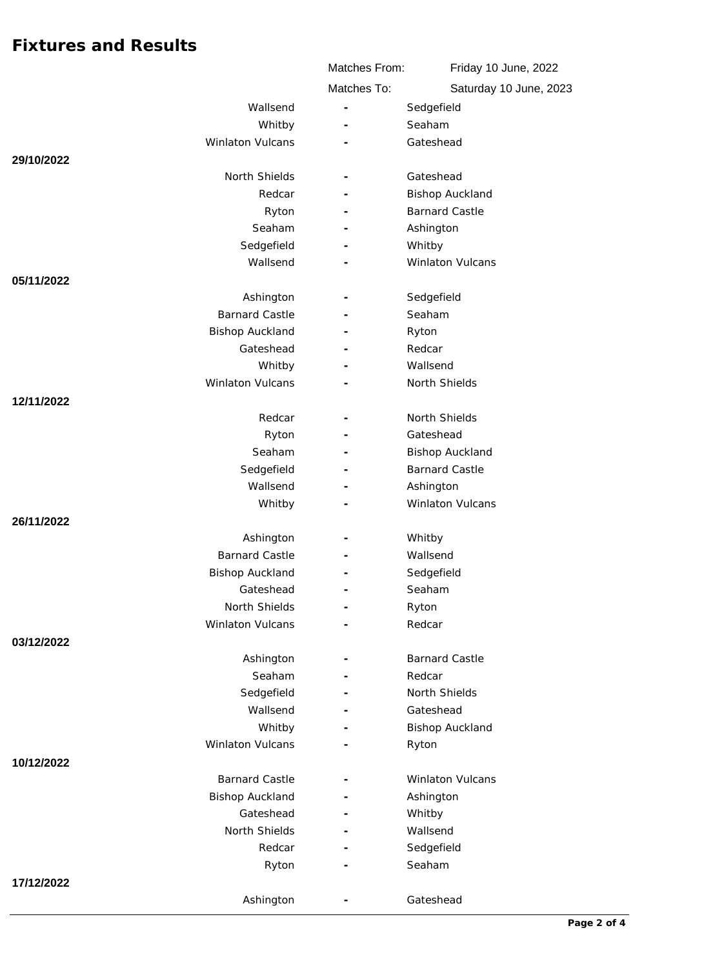|                            | Matches From:            | Friday 10 June, 2022    |
|----------------------------|--------------------------|-------------------------|
|                            | Matches To:              | Saturday 10 June, 2023  |
| Wallsend                   | $\overline{\phantom{a}}$ | Sedgefield              |
| Whitby                     |                          | Seaham                  |
| Winlaton Vulcans           |                          | Gateshead               |
| 29/10/2022                 |                          |                         |
| North Shields              |                          | Gateshead               |
| Redcar                     |                          | <b>Bishop Auckland</b>  |
| Ryton                      |                          | <b>Barnard Castle</b>   |
| Seaham                     |                          | Ashington               |
| Sedgefield                 |                          | Whitby                  |
| Wallsend                   |                          | Winlaton Vulcans        |
| 05/11/2022                 |                          |                         |
| Ashington                  |                          | Sedgefield              |
| <b>Barnard Castle</b>      |                          | Seaham                  |
| <b>Bishop Auckland</b>     |                          | Ryton                   |
| Gateshead                  |                          | Redcar                  |
| Whitby                     | $\sim$                   | Wallsend                |
| Winlaton Vulcans           |                          | North Shields           |
| 12/11/2022                 |                          |                         |
| Redcar                     |                          | North Shields           |
| Ryton                      | $\overline{\phantom{a}}$ | Gateshead               |
| Seaham                     |                          | <b>Bishop Auckland</b>  |
| Sedgefield                 |                          | <b>Barnard Castle</b>   |
| Wallsend                   |                          | Ashington               |
| Whitby                     |                          | Winlaton Vulcans        |
| 26/11/2022                 |                          |                         |
| Ashington                  |                          | Whitby                  |
| <b>Barnard Castle</b>      |                          | Wallsend                |
| <b>Bishop Auckland</b>     |                          | Sedgefield              |
| Gateshead<br>North Shields | $\overline{\phantom{a}}$ | Seaham                  |
|                            | $\overline{\phantom{a}}$ | Ryton<br>Redcar         |
| Winlaton Vulcans           |                          |                         |
| 03/12/2022                 |                          | <b>Barnard Castle</b>   |
| Ashington<br>Seaham        | $\sim$                   | Redcar                  |
| Sedgefield                 |                          | North Shields           |
| Wallsend                   |                          | Gateshead               |
| Whitby                     |                          | <b>Bishop Auckland</b>  |
| Winlaton Vulcans           | $\overline{\phantom{a}}$ | Ryton                   |
| 10/12/2022                 |                          |                         |
| <b>Barnard Castle</b>      |                          | <b>Winlaton Vulcans</b> |
| <b>Bishop Auckland</b>     |                          | Ashington               |
| Gateshead                  |                          | Whitby                  |
| North Shields              |                          | Wallsend                |
| Redcar                     |                          | Sedgefield              |
| Ryton                      |                          | Seaham                  |
| 17/12/2022                 |                          |                         |
| Ashington                  |                          | Gateshead               |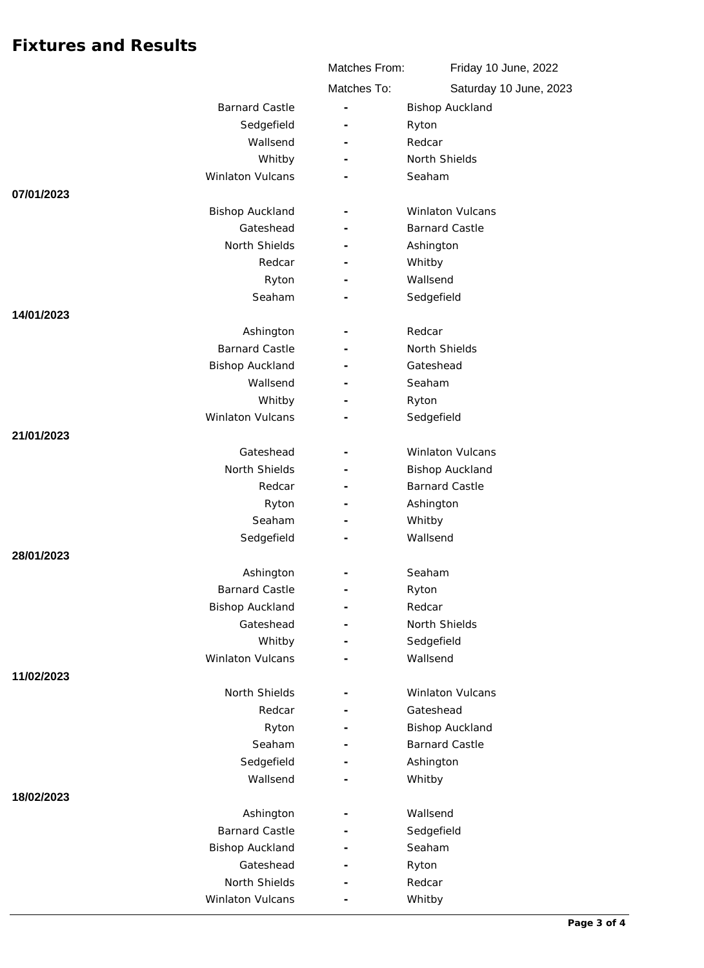|                         | Matches From:            | Friday 10 June, 2022    |
|-------------------------|--------------------------|-------------------------|
|                         | Matches To:              | Saturday 10 June, 2023  |
| <b>Barnard Castle</b>   | $\overline{\phantom{a}}$ | <b>Bishop Auckland</b>  |
| Sedgefield              | L,                       | Ryton                   |
| Wallsend                |                          | Redcar                  |
| Whitby                  | $\overline{\phantom{a}}$ | North Shields           |
| Winlaton Vulcans        |                          | Seaham                  |
| 07/01/2023              |                          |                         |
| <b>Bishop Auckland</b>  |                          | <b>Winlaton Vulcans</b> |
| Gateshead               |                          | <b>Barnard Castle</b>   |
| North Shields           |                          | Ashington               |
| Redcar                  |                          | Whitby                  |
| Ryton                   |                          | Wallsend                |
| Seaham                  | Ē,                       | Sedgefield              |
| 14/01/2023              |                          |                         |
| Ashington               |                          | Redcar                  |
| <b>Barnard Castle</b>   |                          | North Shields           |
| <b>Bishop Auckland</b>  |                          | Gateshead               |
| Wallsend                |                          | Seaham                  |
| Whitby                  |                          | Ryton                   |
| <b>Winlaton Vulcans</b> |                          | Sedgefield              |
| 21/01/2023              |                          |                         |
| Gateshead               |                          | <b>Winlaton Vulcans</b> |
| North Shields           | $\overline{\phantom{m}}$ | <b>Bishop Auckland</b>  |
| Redcar                  |                          | <b>Barnard Castle</b>   |
| Ryton                   | $\overline{\phantom{a}}$ | Ashington               |
| Seaham<br>Sedgefield    |                          | Whitby<br>Wallsend      |
| 28/01/2023              |                          |                         |
| Ashington               |                          | Seaham                  |
| <b>Barnard Castle</b>   |                          | Ryton                   |
| <b>Bishop Auckland</b>  | $\overline{\phantom{a}}$ | Redcar                  |
| Gateshead               |                          | North Shields           |
| Whitby                  |                          | Sedgefield              |
| Winlaton Vulcans        |                          | Wallsend                |
| 11/02/2023              |                          |                         |
| North Shields           |                          | Winlaton Vulcans        |
| Redcar                  |                          | Gateshead               |
| Ryton                   |                          | <b>Bishop Auckland</b>  |
| Seaham                  | $\overline{\phantom{a}}$ | <b>Barnard Castle</b>   |
| Sedgefield              |                          | Ashington               |
| Wallsend                |                          | Whitby                  |
| 18/02/2023              |                          |                         |
| Ashington               | $\overline{\phantom{a}}$ | Wallsend                |
| <b>Barnard Castle</b>   |                          | Sedgefield              |
| <b>Bishop Auckland</b>  |                          | Seaham                  |
| Gateshead               |                          | Ryton                   |
| North Shields           |                          | Redcar                  |
| Winlaton Vulcans        |                          | Whitby                  |